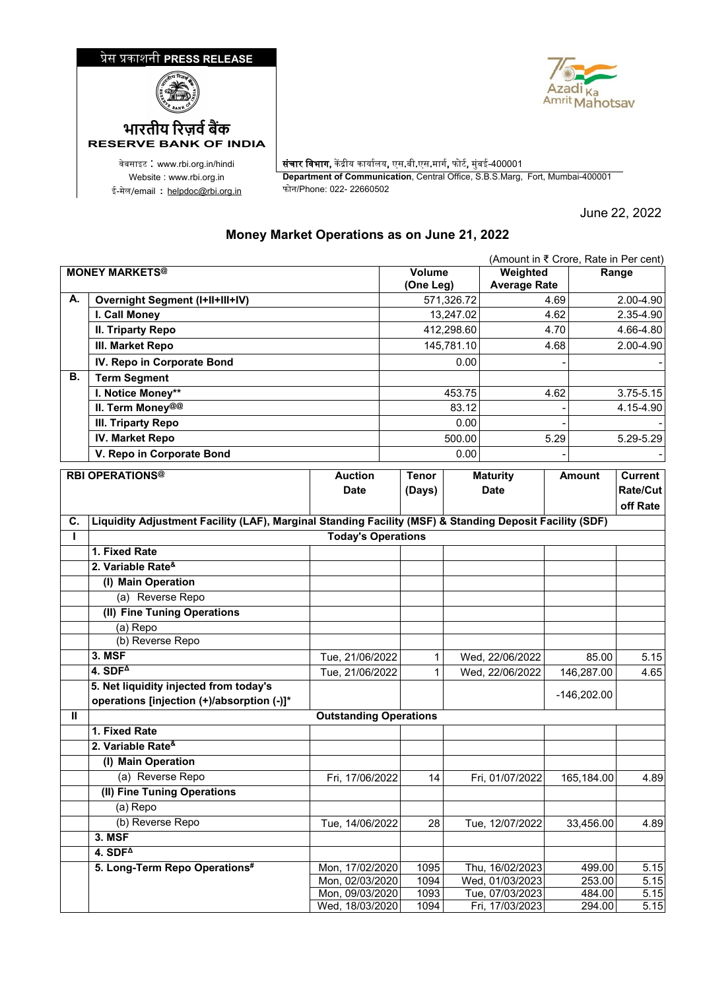## �ेस �काशनी **PRESS RELEASE**





ई-मेल/email : <u>[helpdoc@rbi.org.in](mailto:helpdoc@rbi.org.in)</u>

**RESERVE BANK OF INDIA**

वेबसाइट : www.rbi.org.in/hindi <mark>| संचार विभाग,</mark> केंद्रीय कार्यालय, एस.बी.एस.मार्ग, फोर्ट, मुंबई-400001 Website : www.rbi.org.in **Department of Communication**, Central Office, S.B.S.Marg, Fort, Mumbai-400001

June 22, 2022

## **Money Market Operations as on June 21, 2022**

|                       | (Amount in ₹ Crore, Rate in Per cent)                                                                   |                                    |                                 |                                 |            |                                    |               |                  |                |
|-----------------------|---------------------------------------------------------------------------------------------------------|------------------------------------|---------------------------------|---------------------------------|------------|------------------------------------|---------------|------------------|----------------|
| <b>MONEY MARKETS®</b> |                                                                                                         | Volume<br>(One Leg)                |                                 | Weighted<br><b>Average Rate</b> |            |                                    | Range         |                  |                |
| А.                    | <b>Overnight Segment (I+II+III+IV)</b>                                                                  |                                    |                                 |                                 | 571,326.72 | 4.69                               |               | 2.00-4.90        |                |
|                       | I. Call Money                                                                                           |                                    |                                 |                                 | 13,247.02  | 4.62                               |               |                  | 2.35-4.90      |
|                       | <b>II. Triparty Repo</b>                                                                                |                                    |                                 | 412,298.60                      |            | 4.70                               |               |                  | 4.66-4.80      |
|                       | III. Market Repo                                                                                        |                                    |                                 | 145,781.10                      |            | 4.68                               |               |                  | 2.00-4.90      |
|                       | IV. Repo in Corporate Bond                                                                              |                                    |                                 |                                 | 0.00       |                                    |               |                  |                |
| В.                    | <b>Term Segment</b>                                                                                     |                                    |                                 |                                 |            |                                    |               |                  |                |
|                       | I. Notice Money**                                                                                       |                                    |                                 |                                 | 453.75     |                                    | 4.62          |                  | 3.75-5.15      |
|                       | II. Term Money@@                                                                                        |                                    |                                 |                                 | 83.12      |                                    |               |                  | 4.15-4.90      |
|                       | <b>III. Triparty Repo</b>                                                                               |                                    |                                 | 0.00                            |            |                                    |               |                  |                |
|                       | <b>IV. Market Repo</b>                                                                                  |                                    |                                 |                                 | 500.00     |                                    | 5.29          |                  | 5.29-5.29      |
|                       | V. Repo in Corporate Bond                                                                               |                                    |                                 | 0.00                            |            |                                    |               |                  |                |
|                       | <b>RBI OPERATIONS®</b>                                                                                  | <b>Auction</b>                     | <b>Tenor</b><br><b>Maturity</b> |                                 |            |                                    | <b>Amount</b> |                  | <b>Current</b> |
|                       |                                                                                                         | <b>Date</b>                        |                                 | (Days)                          |            | <b>Date</b>                        |               |                  | Rate/Cut       |
|                       |                                                                                                         |                                    |                                 |                                 |            |                                    |               |                  | off Rate       |
| C.                    | Liquidity Adjustment Facility (LAF), Marginal Standing Facility (MSF) & Standing Deposit Facility (SDF) |                                    |                                 |                                 |            |                                    |               |                  |                |
| L                     |                                                                                                         | <b>Today's Operations</b>          |                                 |                                 |            |                                    |               |                  |                |
|                       | 1. Fixed Rate                                                                                           |                                    |                                 |                                 |            |                                    |               |                  |                |
|                       | 2. Variable Rate <sup>&amp;</sup>                                                                       |                                    |                                 |                                 |            |                                    |               |                  |                |
|                       | (I) Main Operation                                                                                      |                                    |                                 |                                 |            |                                    |               |                  |                |
|                       | (a) Reverse Repo                                                                                        |                                    |                                 |                                 |            |                                    |               |                  |                |
|                       | (II) Fine Tuning Operations                                                                             |                                    |                                 |                                 |            |                                    |               |                  |                |
|                       | (a) Repo                                                                                                |                                    |                                 |                                 |            |                                    |               |                  |                |
|                       | (b) Reverse Repo                                                                                        |                                    |                                 |                                 |            |                                    |               |                  |                |
|                       | 3. MSF                                                                                                  | Tue, 21/06/2022                    |                                 | 1                               |            | Wed, 22/06/2022                    |               | 85.00            | 5.15           |
|                       | 4. $SDF4$                                                                                               | Tue, 21/06/2022                    |                                 | 1                               |            | Wed, 22/06/2022                    |               | 146,287.00       | 4.65           |
|                       | 5. Net liquidity injected from today's                                                                  |                                    |                                 |                                 |            |                                    |               | $-146,202.00$    |                |
|                       | operations [injection (+)/absorption (-)]*                                                              |                                    |                                 |                                 |            |                                    |               |                  |                |
| Ш                     |                                                                                                         | <b>Outstanding Operations</b>      |                                 |                                 |            |                                    |               |                  |                |
|                       | 1. Fixed Rate                                                                                           |                                    |                                 |                                 |            |                                    |               |                  |                |
|                       | 2. Variable Rate <sup>&amp;</sup>                                                                       |                                    |                                 |                                 |            |                                    |               |                  |                |
|                       | (I) Main Operation                                                                                      |                                    |                                 |                                 |            |                                    |               |                  |                |
|                       | (a) Reverse Repo                                                                                        | Fri, 17/06/2022                    |                                 | 14                              |            | Fri, 01/07/2022                    |               | 165,184.00       | 4.89           |
|                       | (II) Fine Tuning Operations                                                                             |                                    |                                 |                                 |            |                                    |               |                  |                |
|                       | (a) Repo                                                                                                |                                    |                                 |                                 |            |                                    |               |                  |                |
|                       | (b) Reverse Repo                                                                                        | Tue, 14/06/2022                    |                                 | 28                              |            | Tue, 12/07/2022                    |               | 33,456.00        | 4.89           |
|                       | <b>3. MSF</b>                                                                                           |                                    |                                 |                                 |            |                                    |               |                  |                |
|                       | $4.$ SDF <sup><math>\triangle</math></sup>                                                              |                                    |                                 |                                 |            |                                    |               |                  |                |
|                       | 5. Long-Term Repo Operations#                                                                           | Mon, 17/02/2020                    |                                 | 1095                            |            | Thu, 16/02/2023                    |               | 499.00           | 5.15           |
|                       |                                                                                                         | Mon, 02/03/2020<br>Mon, 09/03/2020 |                                 | 1094<br>1093                    |            | Wed, 01/03/2023<br>Tue, 07/03/2023 |               | 253.00<br>484.00 | 5.15<br>5.15   |
|                       |                                                                                                         | Wed, 18/03/2020                    |                                 | 1094                            |            | Fri, 17/03/2023                    |               | 294.00           | 5.15           |
|                       |                                                                                                         |                                    |                                 |                                 |            |                                    |               |                  |                |